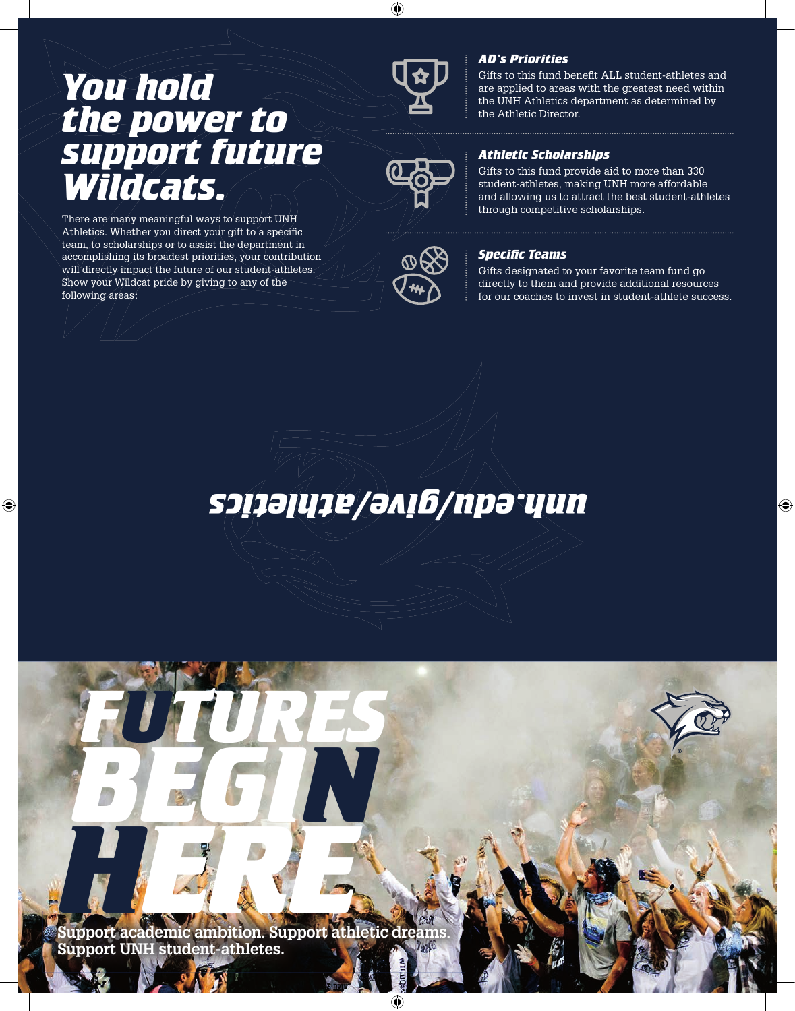## *You hold the power to support future Wildcats.*

There are many meaningful ways to support UNH Athletics. Whether you direct your gift to a specific team, to scholarships or to assist the department in accomplishing its broadest priorities, your contribution will directly impact the future of our student-athletes. Show your Wildcat pride by giving to any of the following areas:





## *AD's Priorities*

Gifts to this fund benefit ALL student-athletes and are applied to areas with the greatest need within the UNH Athletics department as determined by the Athletic Director.

## *Athletic Scholarships*

Gifts to this fund provide aid to more than 330 student-athletes, making UNH more affordable and allowing us to attract the best student-athletes through competitive scholarships.

### **Specific Teams**

Gifts designated to your favorite team fund go directly to them and provide additional resources for our coaches to invest in student-athlete success.

## *unh.edu/give/athletics*

**Support academic ambition. Support athletic dreams. Support UNH student-athletes.**

*FUTURES*

*BEGIN*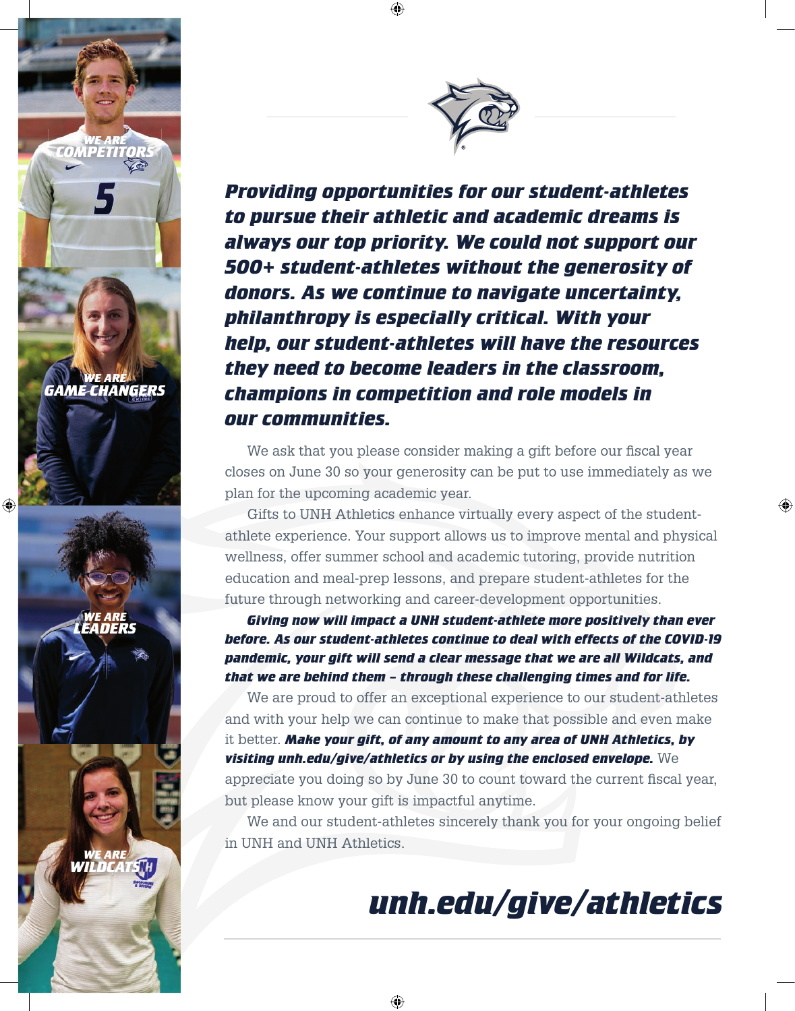*Providing opportunities for our student-athletes to pursue their athletic and academic dreams is always our top priority. We could not support our 500+ student-athletes without the generosity of donors. As we continue to navigate uncertainty, philanthropy is especially critical. With your help, our student-athletes will have the resources they need to become leaders in the classroom, champions in competition and role models in our communities.*

We ask that you please consider making a gift before our fiscal year closes on June 30 so your generosity can be put to use immediately as we plan for the upcoming academic year.

 Gifts to UNH Athletics enhance virtually every aspect of the studentathlete experience. Your support allows us to improve mental and physical wellness, offer summer school and academic tutoring, provide nutrition education and meal-prep lessons, and prepare student-athletes for the future through networking and career-development opportunities.

*Giving now will impact a UNH student-athlete more positively than ever before. As our student-athletes continue to deal with effects of the COVID-19 pandemic, your gift will send a clear message that we are all Wildcats, and that we are behind them – through these challenging times and for life.*

We are proud to offer an exceptional experience to our student-athletes and with your help we can continue to make that possible and even make it better. *Make your gift, of any amount to any area of UNH Athletics, by visiting unh.edu/give/athletics or by using the enclosed envelope.* We

appreciate you doing so by June 30 to count toward the current fiscal year, but please know your gift is impactful anytime.

 We and our student-athletes sincerely thank you for your ongoing belief in UNH and UNH Athletics.

# *unh.edu/give/athletics*

*WE ARE GAME CHANGERS*

*WE ARE COMPETITORS*

*WE ARE LEADERS*

*WE ARE WILDCATS*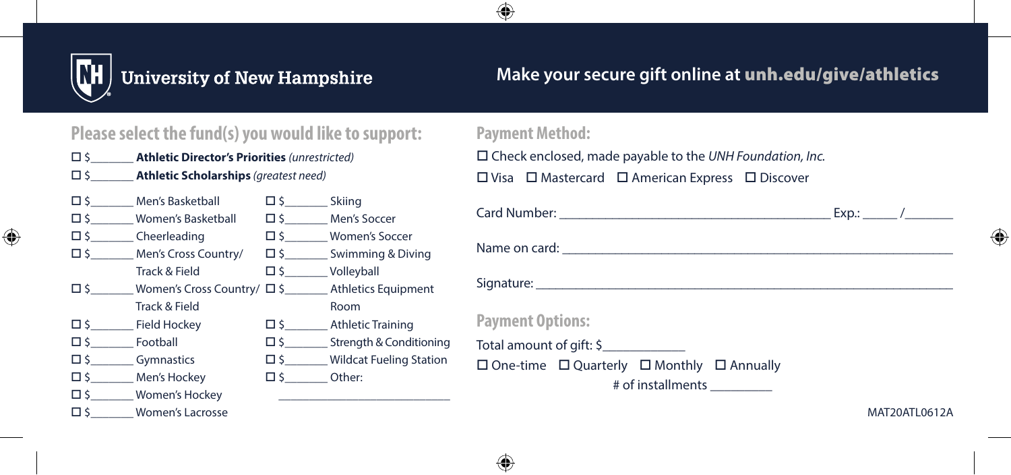

## **University of New Hampshire**

## **Make your secure gift online at** unh.edu/give/athletics

### **Please select the fund(s) you would like to support:**

- \$\_\_\_\_\_\_\_ **Athletic Director's Priorities** *(unrestricted)*
- \$\_\_\_\_\_\_\_ **Athletic Scholarships** *(greatest need)*
- $\square$  \$ Men's Basketball  $\square$  \$ Women's Basketball  $\square$  \$  $\square$  Cheerleading □ \$\_\_\_\_\_ Men's Cross Country/ Track & Field  $\square$  \$ Women's Cross Country/  $\square$  \$ Track & Field  $\square$  \$ Field Hockey  $\square$  \$ Football  $\square$  \$ Gymnastics \$\_\_\_\_\_\_\_ Men's Hockey □ \$\_\_\_\_\_\_\_\_ Women's Hockey  $\square$  \$ Women's Lacrosse
	- $\square$ \$ Skiing  $\Box$  \$  $M$ en's Soccer  $\square$  \$ Women's Soccer  $\square$  \$ Swimming & Diving  $\square$  \$  $\blacksquare$  Volleyball Athletics Equipment Room  $\square$  \$ \_\_\_\_\_\_\_\_ Athletic Training  $\square$  \$  $\blacksquare$  Strength & Conditioning □ \$ Wildcat Fueling Station  $\Box$   $\zeta$  Other: \_\_\_\_\_\_\_\_\_\_\_\_\_\_\_\_\_\_\_\_\_\_\_\_\_\_\_\_

#### **Payment Method:**

 Check enclosed, made payable to the *UNH Foundation, Inc.*  $\square$  Visa  $\square$  Mastercard  $\square$  American Express  $\square$  Discover

| <b>Payment Options:</b>                                         |  |  |  |  |  |
|-----------------------------------------------------------------|--|--|--|--|--|
| Total amount of gift: \$                                        |  |  |  |  |  |
| $\Box$ One-time $\Box$ Quarterly $\Box$ Monthly $\Box$ Annually |  |  |  |  |  |
| # of installments __________                                    |  |  |  |  |  |